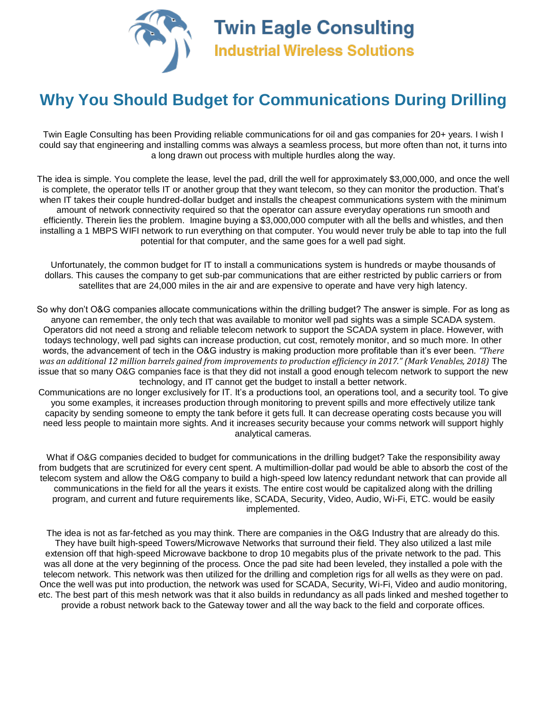

## **Why You Should Budget for Communications During Drilling**

Twin Eagle Consulting has been Providing reliable communications for oil and gas companies for 20+ years. I wish I could say that engineering and installing comms was always a seamless process, but more often than not, it turns into a long drawn out process with multiple hurdles along the way.

The idea is simple. You complete the lease, level the pad, drill the well for approximately \$3,000,000, and once the well is complete, the operator tells IT or another group that they want telecom, so they can monitor the production. That's when IT takes their couple hundred-dollar budget and installs the cheapest communications system with the minimum amount of network connectivity required so that the operator can assure everyday operations run smooth and efficiently. Therein lies the problem. Imagine buying a \$3,000,000 computer with all the bells and whistles, and then installing a 1 MBPS WIFI network to run everything on that computer. You would never truly be able to tap into the full potential for that computer, and the same goes for a well pad sight.

Unfortunately, the common budget for IT to install a communications system is hundreds or maybe thousands of dollars. This causes the company to get sub-par communications that are either restricted by public carriers or from satellites that are 24,000 miles in the air and are expensive to operate and have very high latency.

So why don't O&G companies allocate communications within the drilling budget? The answer is simple. For as long as anyone can remember, the only tech that was available to monitor well pad sights was a simple SCADA system. Operators did not need a strong and reliable telecom network to support the SCADA system in place. However, with todays technology, well pad sights can increase production, cut cost, remotely monitor, and so much more. In other words, the advancement of tech in the O&G industry is making production more profitable than it's ever been. *"There* was an additional 12 million barrels gained from improvements to production efficiency in 2017." (Mark Venables, 2018) The issue that so many O&G companies face is that they did not install a good enough telecom network to support the new technology, and IT cannot get the budget to install a better network.

Communications are no longer exclusively for IT. It's a productions tool, an operations tool, and a security tool. To give you some examples, it increases production through monitoring to prevent spills and more effectively utilize tank capacity by sending someone to empty the tank before it gets full. It can decrease operating costs because you will need less people to maintain more sights. And it increases security because your comms network will support highly analytical cameras.

What if O&G companies decided to budget for communications in the drilling budget? Take the responsibility away from budgets that are scrutinized for every cent spent. A multimillion-dollar pad would be able to absorb the cost of the telecom system and allow the O&G company to build a high-speed low latency redundant network that can provide all communications in the field for all the years it exists. The entire cost would be capitalized along with the drilling program, and current and future requirements like, SCADA, Security, Video, Audio, Wi-Fi, ETC. would be easily implemented.

The idea is not as far-fetched as you may think. There are companies in the O&G Industry that are already do this. They have built high-speed Towers/Microwave Networks that surround their field. They also utilized a last mile extension off that high-speed Microwave backbone to drop 10 megabits plus of the private network to the pad. This was all done at the very beginning of the process. Once the pad site had been leveled, they installed a pole with the telecom network. This network was then utilized for the drilling and completion rigs for all wells as they were on pad. Once the well was put into production, the network was used for SCADA, Security, Wi-Fi, Video and audio monitoring, etc. The best part of this mesh network was that it also builds in redundancy as all pads linked and meshed together to provide a robust network back to the Gateway tower and all the way back to the field and corporate offices.